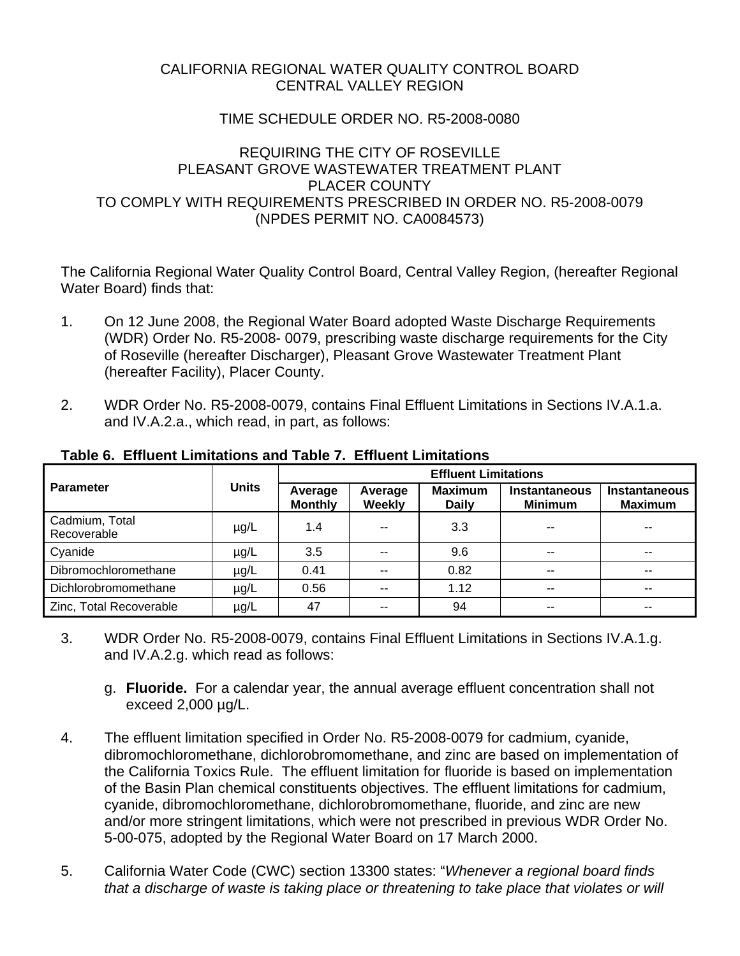## CALIFORNIA REGIONAL WATER QUALITY CONTROL BOARD CENTRAL VALLEY REGION

## TIME SCHEDULE ORDER NO. R5-2008-0080

## REQUIRING THE CITY OF ROSEVILLE PI FASANT GROVE WASTEWATER TREATMENT PLANT PLACER COUNTY TO COMPLY WITH REQUIREMENTS PRESCRIBED IN ORDER NO. R5-2008-0079 (NPDES PERMIT NO. CA0084573)

The California Regional Water Quality Control Board, Central Valley Region, (hereafter Regional Water Board) finds that:

- 1. On 12 June 2008, the Regional Water Board adopted Waste Discharge Requirements (WDR) Order No. R5-2008- 0079, prescribing waste discharge requirements for the City of Roseville (hereafter Discharger), Pleasant Grove Wastewater Treatment Plant (hereafter Facility), Placer County.
- 2. WDR Order No. R5-2008-0079, contains Final Effluent Limitations in Sections IV.A.1.a. and IV.A.2.a., which read, in part, as follows:

| <b>Parameter</b>              | <b>Units</b> | <b>Effluent Limitations</b> |                          |                                |                                        |                                        |
|-------------------------------|--------------|-----------------------------|--------------------------|--------------------------------|----------------------------------------|----------------------------------------|
|                               |              | Average<br><b>Monthly</b>   | Average<br><b>Weekly</b> | <b>Maximum</b><br><b>Daily</b> | <b>Instantaneous</b><br><b>Minimum</b> | <b>Instantaneous</b><br><b>Maximum</b> |
| Cadmium, Total<br>Recoverable | $\mu$ g/L    | 1.4                         | $\sim$ $\sim$            | 3.3                            | --                                     | --                                     |
| Cyanide                       | $\mu$ g/L    | 3.5                         | $- -$                    | 9.6                            | --                                     | --                                     |
| Dibromochloromethane          | $\mu$ g/L    | 0.41                        | $- -$                    | 0.82                           | --                                     | --                                     |
| Dichlorobromomethane          | $\mu$ g/L    | 0.56                        | $ -$                     | 1.12                           | --                                     |                                        |
| Zinc, Total Recoverable       | µg/L         | 47                          | $- -$                    | 94                             | $- -$                                  | --                                     |

#### **Table 6. Effluent Limitations and Table 7. Effluent Limitations**

- 3. WDR Order No. R5-2008-0079, contains Final Effluent Limitations in Sections IV.A.1.g. and IV.A.2.g. which read as follows:
	- g. **Fluoride.** For a calendar year, the annual average effluent concentration shall not exceed 2,000 µg/L.
- 4. The effluent limitation specified in Order No. R5-2008-0079 for cadmium, cyanide, dibromochloromethane, dichlorobromomethane, and zinc are based on implementation of the California Toxics Rule. The effluent limitation for fluoride is based on implementation of the Basin Plan chemical constituents objectives. The effluent limitations for cadmium, cyanide, dibromochloromethane, dichlorobromomethane, fluoride, and zinc are new and/or more stringent limitations, which were not prescribed in previous WDR Order No. 5-00-075, adopted by the Regional Water Board on 17 March 2000.
- 5. California Water Code (CWC) section 13300 states: "*Whenever a regional board finds that a discharge of waste is taking place or threatening to take place that violates or will*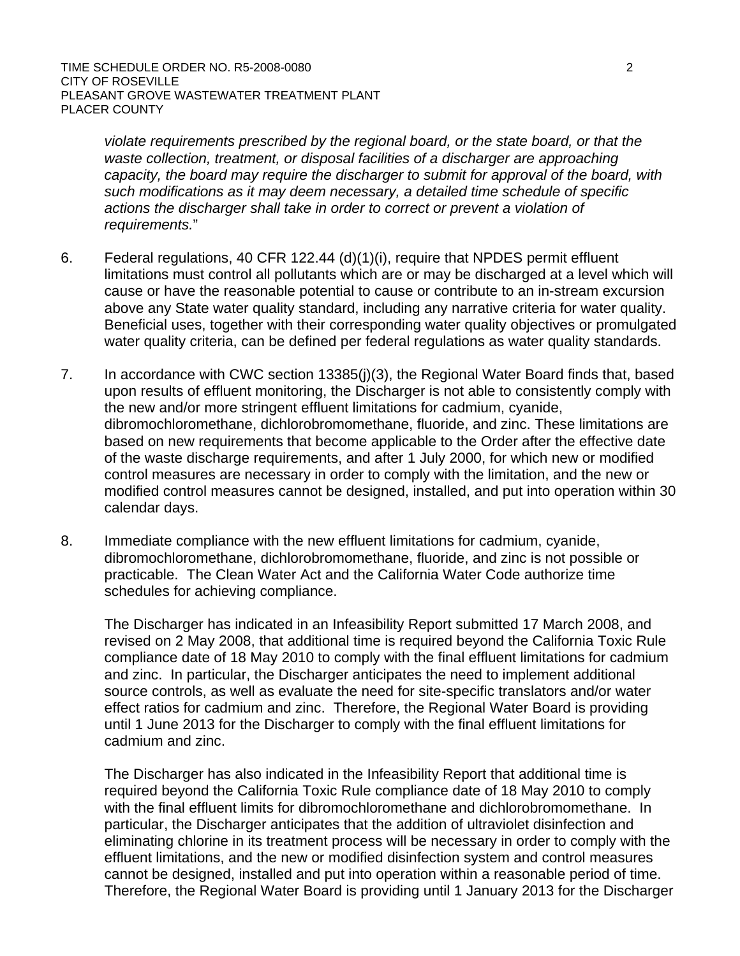*violate requirements prescribed by the regional board, or the state board, or that the waste collection, treatment, or disposal facilities of a discharger are approaching capacity, the board may require the discharger to submit for approval of the board, with such modifications as it may deem necessary, a detailed time schedule of specific actions the discharger shall take in order to correct or prevent a violation of requirements.*"

- 6. Federal regulations, 40 CFR 122.44 (d)(1)(i), require that NPDES permit effluent limitations must control all pollutants which are or may be discharged at a level which will cause or have the reasonable potential to cause or contribute to an in-stream excursion above any State water quality standard, including any narrative criteria for water quality. Beneficial uses, together with their corresponding water quality objectives or promulgated water quality criteria, can be defined per federal regulations as water quality standards.
- 7. In accordance with CWC section 13385(j)(3), the Regional Water Board finds that, based upon results of effluent monitoring, the Discharger is not able to consistently comply with the new and/or more stringent effluent limitations for cadmium, cyanide, dibromochloromethane, dichlorobromomethane, fluoride, and zinc. These limitations are based on new requirements that become applicable to the Order after the effective date of the waste discharge requirements, and after 1 July 2000, for which new or modified control measures are necessary in order to comply with the limitation, and the new or modified control measures cannot be designed, installed, and put into operation within 30 calendar days.
- 8. Immediate compliance with the new effluent limitations for cadmium, cyanide, dibromochloromethane, dichlorobromomethane, fluoride, and zinc is not possible or practicable. The Clean Water Act and the California Water Code authorize time schedules for achieving compliance.

The Discharger has indicated in an Infeasibility Report submitted 17 March 2008, and revised on 2 May 2008, that additional time is required beyond the California Toxic Rule compliance date of 18 May 2010 to comply with the final effluent limitations for cadmium and zinc. In particular, the Discharger anticipates the need to implement additional source controls, as well as evaluate the need for site-specific translators and/or water effect ratios for cadmium and zinc. Therefore, the Regional Water Board is providing until 1 June 2013 for the Discharger to comply with the final effluent limitations for cadmium and zinc.

The Discharger has also indicated in the Infeasibility Report that additional time is required beyond the California Toxic Rule compliance date of 18 May 2010 to comply with the final effluent limits for dibromochloromethane and dichlorobromomethane. In particular, the Discharger anticipates that the addition of ultraviolet disinfection and eliminating chlorine in its treatment process will be necessary in order to comply with the effluent limitations, and the new or modified disinfection system and control measures cannot be designed, installed and put into operation within a reasonable period of time. Therefore, the Regional Water Board is providing until 1 January 2013 for the Discharger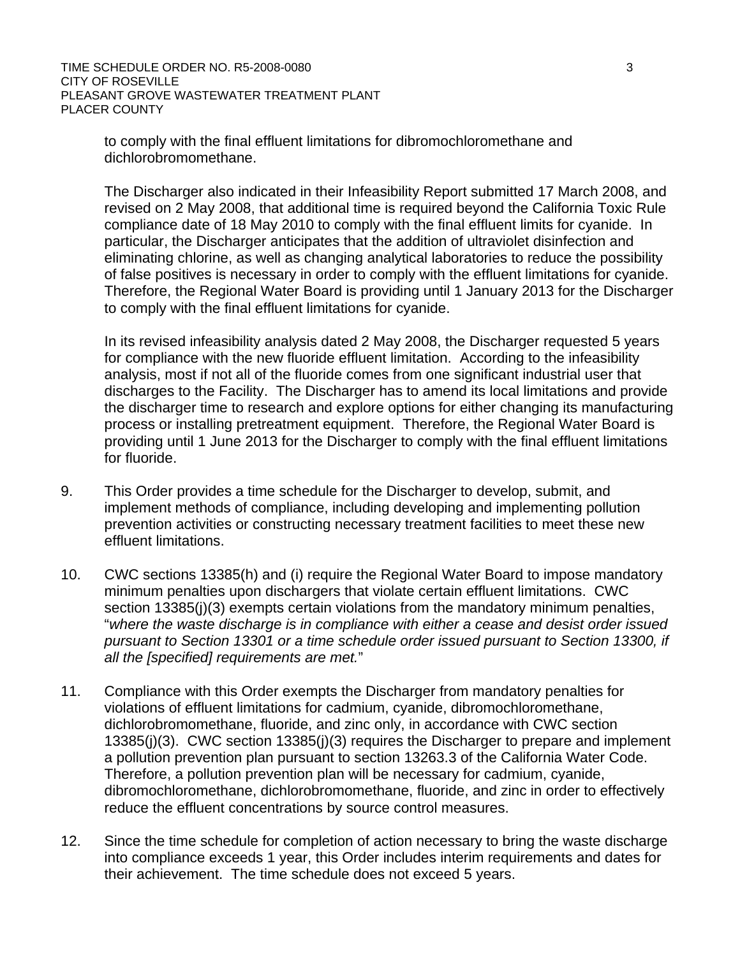to comply with the final effluent limitations for dibromochloromethane and dichlorobromomethane.

The Discharger also indicated in their Infeasibility Report submitted 17 March 2008, and revised on 2 May 2008, that additional time is required beyond the California Toxic Rule compliance date of 18 May 2010 to comply with the final effluent limits for cyanide. In particular, the Discharger anticipates that the addition of ultraviolet disinfection and eliminating chlorine, as well as changing analytical laboratories to reduce the possibility of false positives is necessary in order to comply with the effluent limitations for cyanide. Therefore, the Regional Water Board is providing until 1 January 2013 for the Discharger to comply with the final effluent limitations for cyanide.

In its revised infeasibility analysis dated 2 May 2008, the Discharger requested 5 years for compliance with the new fluoride effluent limitation. According to the infeasibility analysis, most if not all of the fluoride comes from one significant industrial user that discharges to the Facility. The Discharger has to amend its local limitations and provide the discharger time to research and explore options for either changing its manufacturing process or installing pretreatment equipment. Therefore, the Regional Water Board is providing until 1 June 2013 for the Discharger to comply with the final effluent limitations for fluoride.

- 9. This Order provides a time schedule for the Discharger to develop, submit, and implement methods of compliance, including developing and implementing pollution prevention activities or constructing necessary treatment facilities to meet these new effluent limitations.
- 10. CWC sections 13385(h) and (i) require the Regional Water Board to impose mandatory minimum penalties upon dischargers that violate certain effluent limitations. CWC section 13385(j)(3) exempts certain violations from the mandatory minimum penalties, "*where the waste discharge is in compliance with either a cease and desist order issued pursuant to Section 13301 or a time schedule order issued pursuant to Section 13300, if all the [specified] requirements are met.*"
- 11. Compliance with this Order exempts the Discharger from mandatory penalties for violations of effluent limitations for cadmium, cyanide, dibromochloromethane, dichlorobromomethane, fluoride, and zinc only, in accordance with CWC section 13385(j)(3). CWC section 13385(j)(3) requires the Discharger to prepare and implement a pollution prevention plan pursuant to section 13263.3 of the California Water Code. Therefore, a pollution prevention plan will be necessary for cadmium, cyanide, dibromochloromethane, dichlorobromomethane, fluoride, and zinc in order to effectively reduce the effluent concentrations by source control measures.
- 12. Since the time schedule for completion of action necessary to bring the waste discharge into compliance exceeds 1 year, this Order includes interim requirements and dates for their achievement. The time schedule does not exceed 5 years.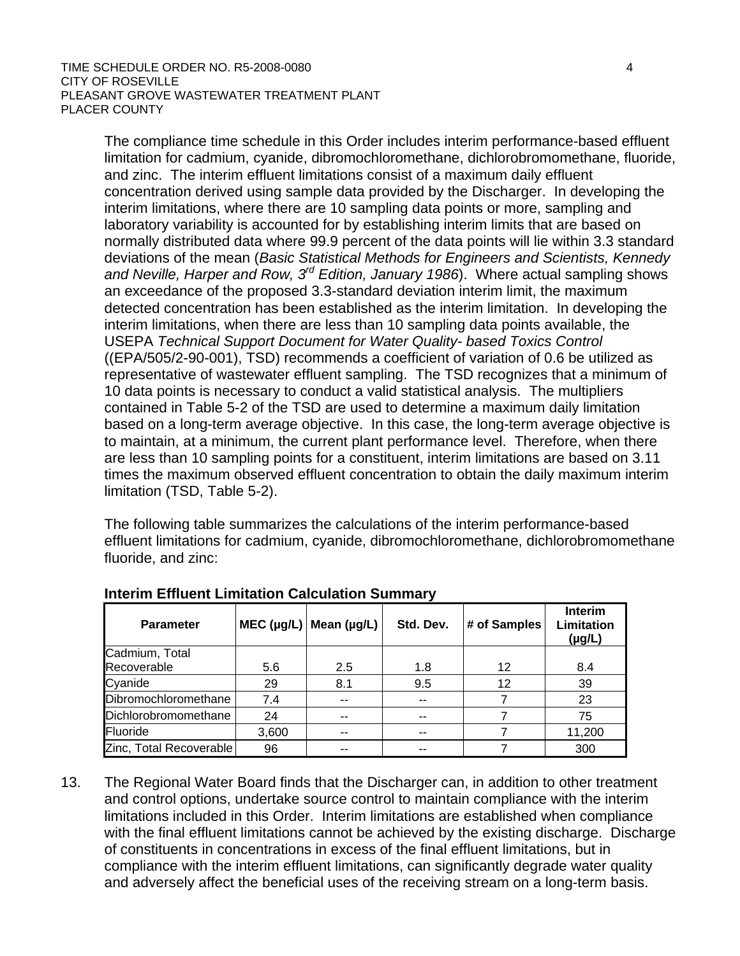The compliance time schedule in this Order includes interim performance-based effluent limitation for cadmium, cyanide, dibromochloromethane, dichlorobromomethane, fluoride, and zinc. The interim effluent limitations consist of a maximum daily effluent concentration derived using sample data provided by the Discharger. In developing the interim limitations, where there are 10 sampling data points or more, sampling and laboratory variability is accounted for by establishing interim limits that are based on normally distributed data where 99.9 percent of the data points will lie within 3.3 standard deviations of the mean (*Basic Statistical Methods for Engineers and Scientists, Kennedy and Neville, Harper and Row, 3rd Edition, January 1986*). Where actual sampling shows an exceedance of the proposed 3.3-standard deviation interim limit, the maximum detected concentration has been established as the interim limitation. In developing the interim limitations, when there are less than 10 sampling data points available, the USEPA *Technical Support Document for Water Quality- based Toxics Control* ((EPA/505/2-90-001), TSD) recommends a coefficient of variation of 0.6 be utilized as representative of wastewater effluent sampling. The TSD recognizes that a minimum of 10 data points is necessary to conduct a valid statistical analysis. The multipliers contained in Table 5-2 of the TSD are used to determine a maximum daily limitation based on a long-term average objective. In this case, the long-term average objective is to maintain, at a minimum, the current plant performance level. Therefore, when there are less than 10 sampling points for a constituent, interim limitations are based on 3.11 times the maximum observed effluent concentration to obtain the daily maximum interim limitation (TSD, Table 5-2).

The following table summarizes the calculations of the interim performance-based effluent limitations for cadmium, cyanide, dibromochloromethane, dichlorobromomethane fluoride, and zinc:

| <b>Parameter</b>        |       | MEC $(\mu g/L)$ Mean $(\mu g/L)$ | Std. Dev. | # of Samples | Interim<br>Limitation<br>$(\mu g/L)$ |
|-------------------------|-------|----------------------------------|-----------|--------------|--------------------------------------|
| Cadmium, Total          |       |                                  |           |              |                                      |
| Recoverable             | 5.6   | 2.5                              | 1.8       | 12           | 8.4                                  |
| Cyanide                 | 29    | 8.1                              | 9.5       | 12           | 39                                   |
| Dibromochloromethane    | 7.4   | $- -$                            |           |              | 23                                   |
| Dichlorobromomethane    | 24    | $- -$                            | --        |              | 75                                   |
| Fluoride                | 3,600 | $-$                              | --        |              | 11,200                               |
| Zinc, Total Recoverable | 96    | --                               |           |              | 300                                  |

## **Interim Effluent Limitation Calculation Summary**

13. The Regional Water Board finds that the Discharger can, in addition to other treatment and control options, undertake source control to maintain compliance with the interim limitations included in this Order. Interim limitations are established when compliance with the final effluent limitations cannot be achieved by the existing discharge. Discharge of constituents in concentrations in excess of the final effluent limitations, but in compliance with the interim effluent limitations, can significantly degrade water quality and adversely affect the beneficial uses of the receiving stream on a long-term basis.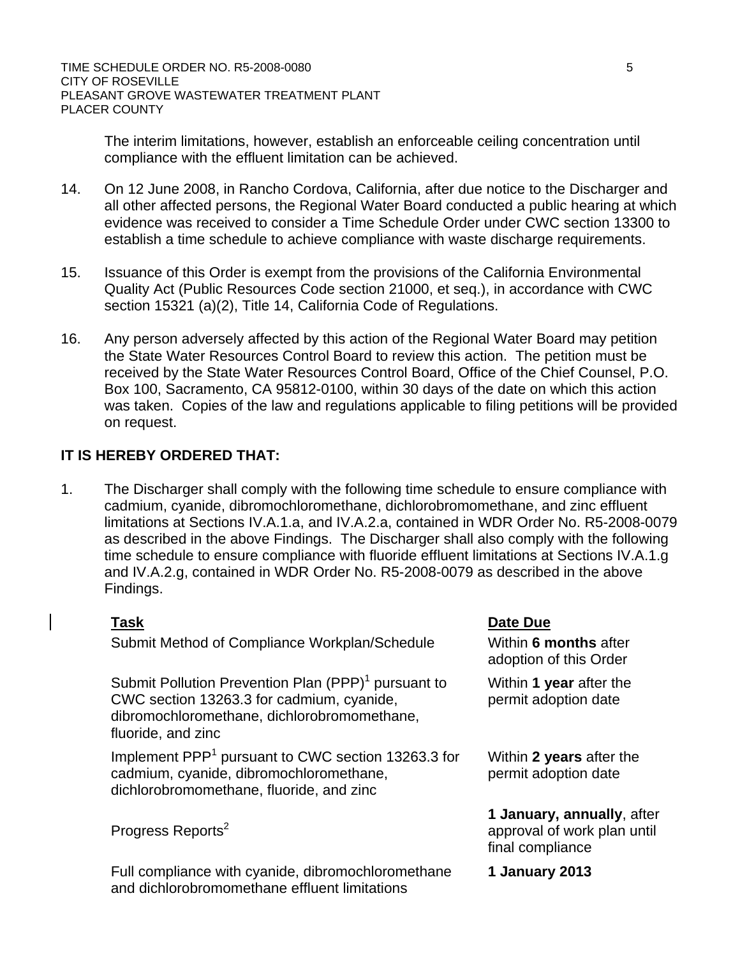The interim limitations, however, establish an enforceable ceiling concentration until compliance with the effluent limitation can be achieved.

- 14. On 12 June 2008, in Rancho Cordova, California, after due notice to the Discharger and all other affected persons, the Regional Water Board conducted a public hearing at which evidence was received to consider a Time Schedule Order under CWC section 13300 to establish a time schedule to achieve compliance with waste discharge requirements.
- 15. Issuance of this Order is exempt from the provisions of the California Environmental Quality Act (Public Resources Code section 21000, et seq.), in accordance with CWC section 15321 (a)(2), Title 14, California Code of Regulations.
- 16. Any person adversely affected by this action of the Regional Water Board may petition the State Water Resources Control Board to review this action. The petition must be received by the State Water Resources Control Board, Office of the Chief Counsel, P.O. Box 100, Sacramento, CA 95812-0100, within 30 days of the date on which this action was taken. Copies of the law and regulations applicable to filing petitions will be provided on request.

# **IT IS HEREBY ORDERED THAT:**

1. The Discharger shall comply with the following time schedule to ensure compliance with cadmium, cyanide, dibromochloromethane, dichlorobromomethane, and zinc effluent limitations at Sections IV.A.1.a, and IV.A.2.a, contained in WDR Order No. R5-2008-0079 as described in the above Findings. The Discharger shall also comply with the following time schedule to ensure compliance with fluoride effluent limitations at Sections IV.A.1.g and IV.A.2.g, contained in WDR Order No. R5-2008-0079 as described in the above Findings.

Submit Method of Compliance Workplan/Schedule Within 6 months after

Submit Pollution Prevention Plan  $(PPP)^1$  pursuant to CWC section 13263.3 for cadmium, cyanide, dibromochloromethane, dichlorobromomethane, fluoride, and zinc

Implement PPP<sup>1</sup> pursuant to CWC section 13263.3 for cadmium, cyanide, dibromochloromethane, dichlorobromomethane, fluoride, and zinc

Progress Reports<sup>2</sup>

Full compliance with cyanide, dibromochloromethane and dichlorobromomethane effluent limitations

#### **Task Date Due**

adoption of this Order

Within **1 year** after the permit adoption date

Within **2 years** after the permit adoption date

**1 January, annually**, after approval of work plan until final compliance

**1 January 2013**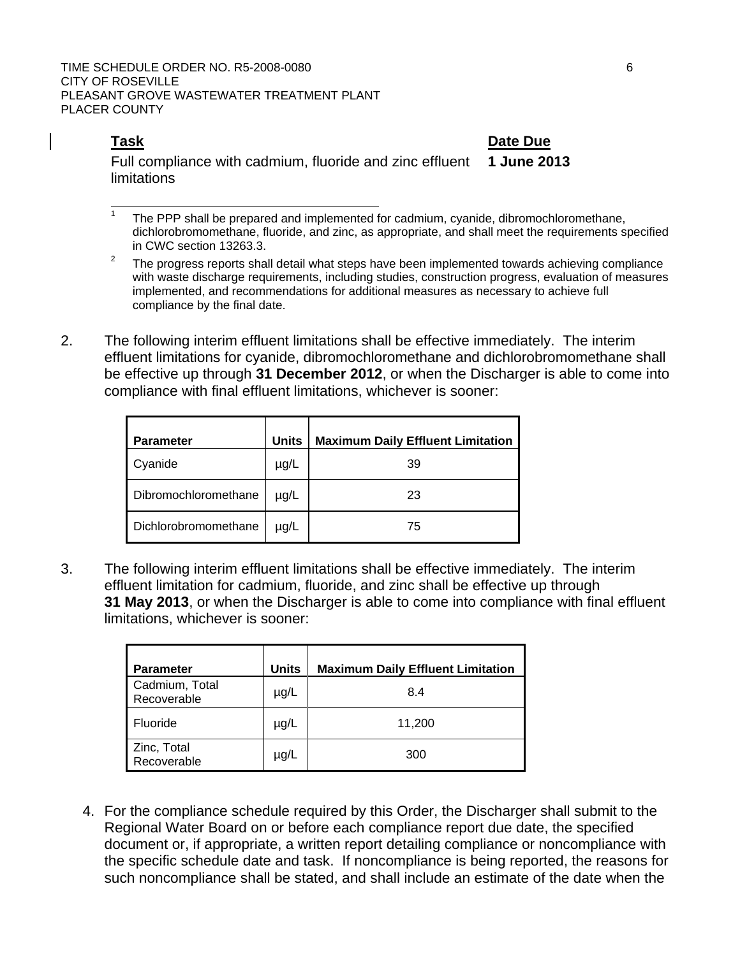$\overline{a}$ 

**Task Date Due** Full compliance with cadmium, fluoride and zinc effluent limitations **1 June 2013** 

1 The PPP shall be prepared and implemented for cadmium, cyanide, dibromochloromethane, dichlorobromomethane, fluoride, and zinc, as appropriate, and shall meet the requirements specified in CWC section 13263.3.

- 2 The progress reports shall detail what steps have been implemented towards achieving compliance with waste discharge requirements, including studies, construction progress, evaluation of measures implemented, and recommendations for additional measures as necessary to achieve full compliance by the final date.
- 2. The following interim effluent limitations shall be effective immediately. The interim effluent limitations for cyanide, dibromochloromethane and dichlorobromomethane shall be effective up through **31 December 2012**, or when the Discharger is able to come into compliance with final effluent limitations, whichever is sooner:

| <b>Parameter</b>     | <b>Units</b> | <b>Maximum Daily Effluent Limitation</b> |
|----------------------|--------------|------------------------------------------|
| Cyanide              | $\mu$ g/L    | 39                                       |
| Dibromochloromethane | $\mu$ g/L    | 23                                       |
| Dichlorobromomethane | $\mu$ g/L    | 75                                       |

3. The following interim effluent limitations shall be effective immediately. The interim effluent limitation for cadmium, fluoride, and zinc shall be effective up through **31 May 2013**, or when the Discharger is able to come into compliance with final effluent limitations, whichever is sooner:

| <b>Parameter</b>              | <b>Units</b> | <b>Maximum Daily Effluent Limitation</b> |
|-------------------------------|--------------|------------------------------------------|
| Cadmium, Total<br>Recoverable | $\mu$ g/L    | 8.4                                      |
| Fluoride                      | $\mu$ g/L    | 11,200                                   |
| Zinc, Total<br>Recoverable    | $\mu$ g/L    | 300                                      |

4. For the compliance schedule required by this Order, the Discharger shall submit to the Regional Water Board on or before each compliance report due date, the specified document or, if appropriate, a written report detailing compliance or noncompliance with the specific schedule date and task. If noncompliance is being reported, the reasons for such noncompliance shall be stated, and shall include an estimate of the date when the